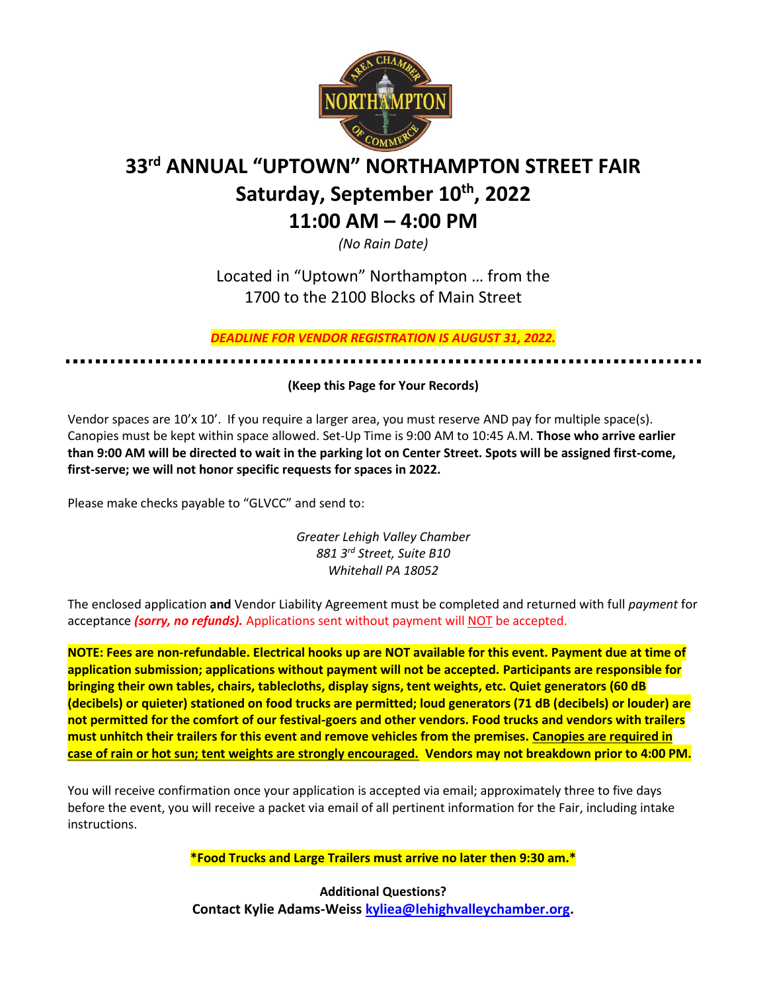

# **33rd ANNUAL "UPTOWN" NORTHAMPTON STREET FAIR Saturday, September 10 th, 2022 11:00 AM – 4:00 PM**

*(No Rain Date)*

Located in "Uptown" Northampton … from the 1700 to the 2100 Blocks of Main Street

*DEADLINE FOR VENDOR REGISTRATION IS AUGUST 31, 2022.* 

### **(Keep this Page for Your Records)**

Vendor spaces are 10'x 10'. If you require a larger area, you must reserve AND pay for multiple space(s). Canopies must be kept within space allowed. Set-Up Time is 9:00 AM to 10:45 A.M. **Those who arrive earlier than 9:00 AM will be directed to wait in the parking lot on Center Street. Spots will be assigned first-come, first-serve; we will not honor specific requests for spaces in 2022.**

Please make checks payable to "GLVCC" and send to:

*Greater Lehigh Valley Chamber 881 3rd Street, Suite B10 Whitehall PA 18052*

The enclosed application **and** Vendor Liability Agreement must be completed and returned with full *payment* for acceptance *(sorry, no refunds).* Applications sent without payment will NOT be accepted.

**NOTE: Fees are non-refundable. Electrical hooks up are NOT available for this event. Payment due at time of application submission; applications without payment will not be accepted. Participants are responsible for bringing their own tables, chairs, tablecloths, display signs, tent weights, etc. Quiet generators (60 dB (decibels) or quieter) stationed on food trucks are permitted; loud generators (71 dB (decibels) or louder) are not permitted for the comfort of our festival-goers and other vendors. Food trucks and vendors with trailers must unhitch their trailers for this event and remove vehicles from the premises. Canopies are required in case of rain or hot sun; tent weights are strongly encouraged. Vendors may not breakdown prior to 4:00 PM.**

You will receive confirmation once your application is accepted via email; approximately three to five days before the event, you will receive a packet via email of all pertinent information for the Fair, including intake instructions.

**\*Food Trucks and Large Trailers must arrive no later then 9:30 am.\***

**Additional Questions? Contact Kylie Adams-Weiss [kyliea@lehighvalleychamber.org.](mailto:kyliea@lehighvalleychamber.org)**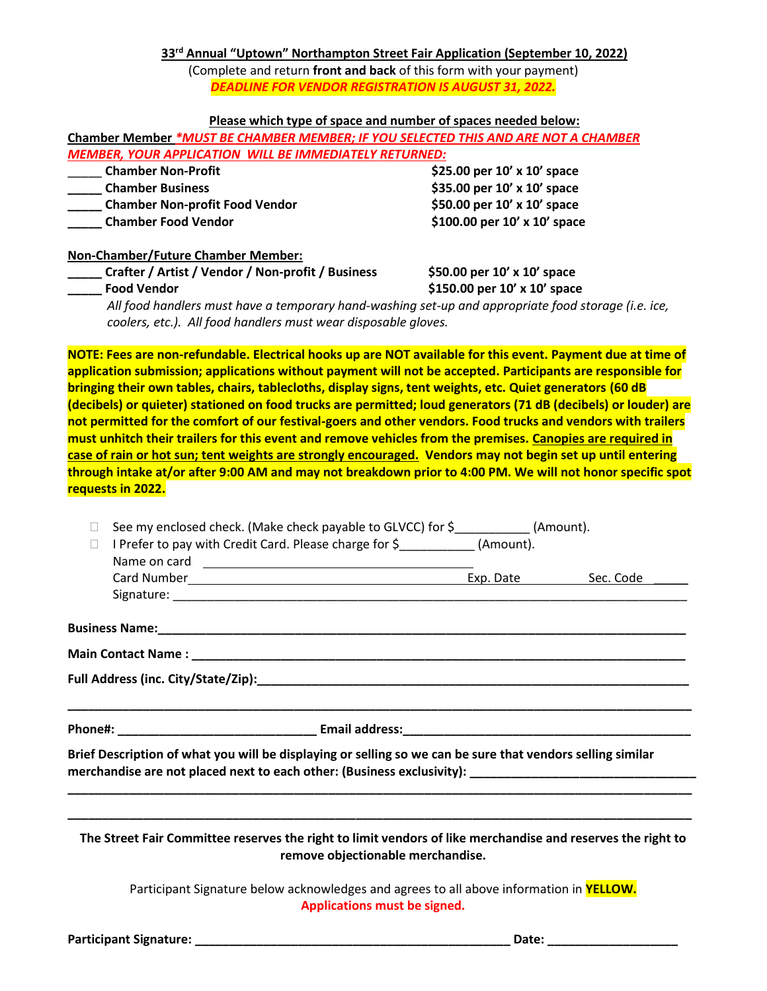**33 rd Annual "Uptown" Northampton Street Fair Application (September 10, 2022)** (Complete and return **front and back** of this form with your payment) *DEADLINE FOR VENDOR REGISTRATION IS AUGUST 31, 2022.* 

#### **Please which type of space and number of spaces needed below:**

|                                                          |  |  |  | Chamber Member *MUST BE CHAMBER MEMBER; IF YOU SELECTED THIS AND ARE NOT A CHAMBER |
|----------------------------------------------------------|--|--|--|------------------------------------------------------------------------------------|
| MEMBER, YOUR APPLICATION WILL BE IMMEDIATELY RETURNED: \ |  |  |  |                                                                                    |

| <b>Chamber Non-Profit</b>             | \$25.00 per $10'$ x $10'$ space    |
|---------------------------------------|------------------------------------|
| <b>Chamber Business</b>               | \$35.00 per $10' \times 10'$ space |
| <b>Chamber Non-profit Food Vendor</b> | \$50.00 per 10' x 10' space        |
| <b>Chamber Food Vendor</b>            | \$100.00 per 10' x 10' space       |

#### **Non-Chamber/Future Chamber Member:**

| Crafter / Artist / Vendor / Non-profit / Business                                                                                                                     | \$50.00 per $10'$ x $10'$ space  |
|-----------------------------------------------------------------------------------------------------------------------------------------------------------------------|----------------------------------|
| <b>Food Vendor</b>                                                                                                                                                    | \$150.00 per $10'$ x $10'$ space |
| All food handlers must have a temporary hand-washing set-up and appropriate food storage (i.e. ice,<br>coolers, etc.). All food handlers must wear disposable gloves. |                                  |

**NOTE: Fees are non-refundable. Electrical hooks up are NOT available for this event. Payment due at time of application submission; applications without payment will not be accepted. Participants are responsible for bringing their own tables, chairs, tablecloths, display signs, tent weights, etc. Quiet generators (60 dB (decibels) or quieter) stationed on food trucks are permitted; loud generators (71 dB (decibels) or louder) are not permitted for the comfort of our festival-goers and other vendors. Food trucks and vendors with trailers must unhitch their trailers for this event and remove vehicles from the premises. Canopies are required in case of rain or hot sun; tent weights are strongly encouraged. Vendors may not begin set up until entering through intake at/or after 9:00 AM and may not breakdown prior to 4:00 PM. We will not honor specific spot requests in 2022.**

| $\mathbb{R}^n$ | See my enclosed check. (Make check payable to GLVCC) for \$____________ (Amount).                                                                |  |  |  |  |  |
|----------------|--------------------------------------------------------------------------------------------------------------------------------------------------|--|--|--|--|--|
| $\Box$         | I Prefer to pay with Credit Card. Please charge for \$ (Amount).                                                                                 |  |  |  |  |  |
|                |                                                                                                                                                  |  |  |  |  |  |
|                |                                                                                                                                                  |  |  |  |  |  |
|                |                                                                                                                                                  |  |  |  |  |  |
|                |                                                                                                                                                  |  |  |  |  |  |
|                |                                                                                                                                                  |  |  |  |  |  |
|                |                                                                                                                                                  |  |  |  |  |  |
|                |                                                                                                                                                  |  |  |  |  |  |
|                |                                                                                                                                                  |  |  |  |  |  |
|                | Brief Description of what you will be displaying or selling so we can be sure that vendors selling similar                                       |  |  |  |  |  |
|                |                                                                                                                                                  |  |  |  |  |  |
|                | The Street Fair Committee reserves the right to limit vendors of like merchandise and reserves the right to<br>remove objectionable merchandise. |  |  |  |  |  |
|                | Participant Signature below acknowledges and agrees to all above information in <b>YELLOW.</b><br>Applications must be signed.                   |  |  |  |  |  |
|                |                                                                                                                                                  |  |  |  |  |  |